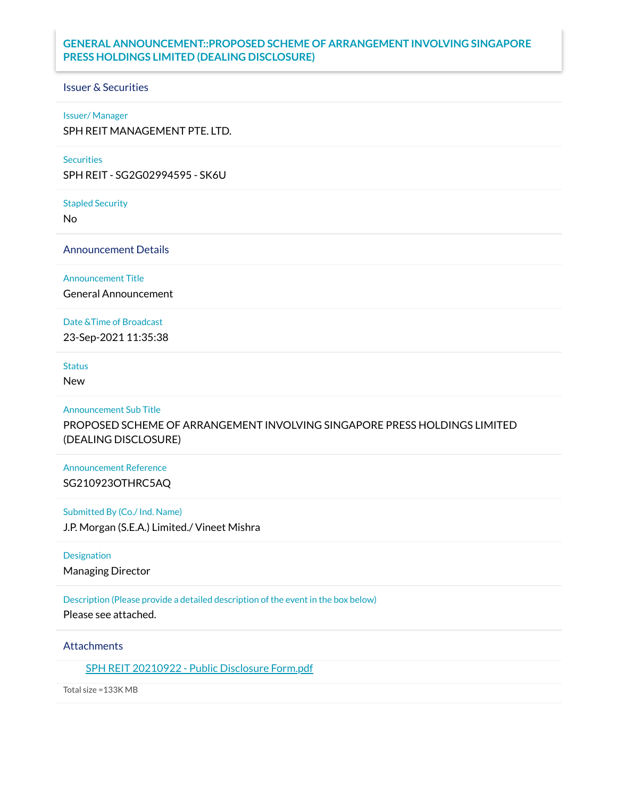# **GENERAL ANNOUNCEMENT::PROPOSED SCHEME OF ARRANGEMENT INVOLVING SINGAPORE PRESS HOLDINGS LIMITED (DEALING DISCLOSURE)**

#### Issuer & Securities

#### Issuer/ Manager

SPH REIT MANAGEMENT PTE. LTD.

#### **Securities**

SPH REIT - SG2G02994595 - SK6U

Stapled Security

No

Announcement Details

Announcement Title

General Announcement

#### Date &Time of Broadcast

23-Sep-2021 11:35:38

### **Status**

New

### Announcement Sub Title

PROPOSED SCHEME OF ARRANGEMENT INVOLVING SINGAPORE PRESS HOLDINGS LIMITED (DEALING DISCLOSURE)

## Announcement Reference SG210923OTHRC5AQ

#### Submitted By (Co./ Ind. Name)

J.P. Morgan (S.E.A.) Limited./ Vineet Mishra

#### Designation

Managing Director

### Description (Please provide a detailed description of the event in the box below)

Please see attached.

### **Attachments**

SPH REIT [20210922](https://links.sgx.com/1.0.0/corporate-announcements/M8TYXTPT4MAW2Y07/684329_SPH%20REIT%2020210922%20-%20Public%20Disclosure%20Form.pdf) - Public Disclosure Form.pdf

Total size =133K MB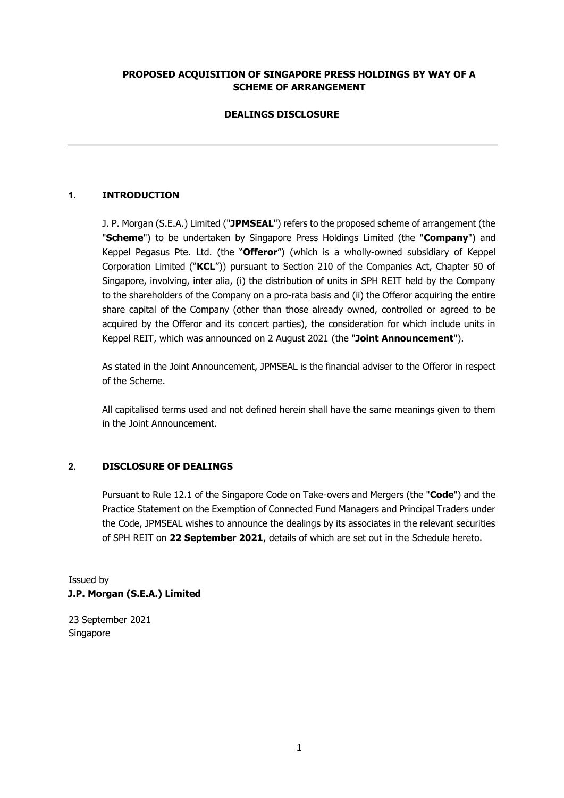## **PROPOSED ACQUISITION OF SINGAPORE PRESS HOLDINGS BY WAY OF A SCHEME OF ARRANGEMENT**

# **DEALINGS DISCLOSURE**

# **1. INTRODUCTION**

J. P. Morgan (S.E.A.) Limited ("**JPMSEAL**") refers to the proposed scheme of arrangement (the "**Scheme**") to be undertaken by Singapore Press Holdings Limited (the "**Company**") and Keppel Pegasus Pte. Ltd. (the "**Offeror**") (which is a wholly-owned subsidiary of Keppel Corporation Limited ("**KCL**")) pursuant to Section 210 of the Companies Act, Chapter 50 of Singapore, involving, inter alia, (i) the distribution of units in SPH REIT held by the Company to the shareholders of the Company on a pro-rata basis and (ii) the Offeror acquiring the entire share capital of the Company (other than those already owned, controlled or agreed to be acquired by the Offeror and its concert parties), the consideration for which include units in Keppel REIT, which was announced on 2 August 2021 (the "**Joint Announcement**").

As stated in the Joint Announcement, JPMSEAL is the financial adviser to the Offeror in respect of the Scheme.

All capitalised terms used and not defined herein shall have the same meanings given to them in the Joint Announcement.

## **2. DISCLOSURE OF DEALINGS**

Pursuant to Rule 12.1 of the Singapore Code on Take-overs and Mergers (the "**Code**") and the Practice Statement on the Exemption of Connected Fund Managers and Principal Traders under the Code, JPMSEAL wishes to announce the dealings by its associates in the relevant securities of SPH REIT on **22 September 2021**, details of which are set out in the Schedule hereto.

Issued by **J.P. Morgan (S.E.A.) Limited** 

23 September 2021 Singapore